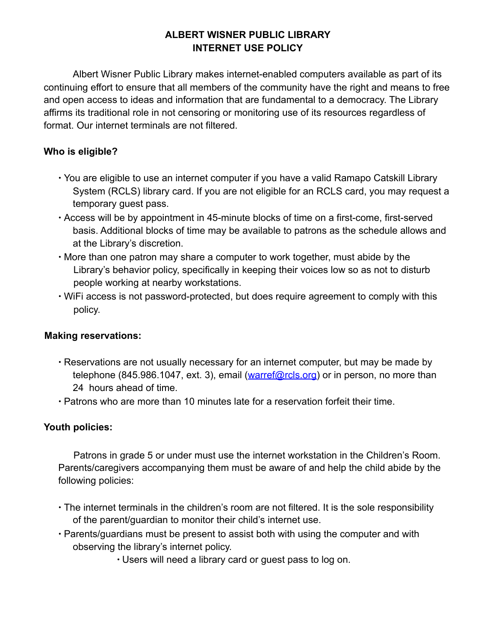# **ALBERT WISNER PUBLIC LIBRARY INTERNET USE POLICY**

Albert Wisner Public Library makes internet-enabled computers available as part of its continuing effort to ensure that all members of the community have the right and means to free and open access to ideas and information that are fundamental to a democracy. The Library affirms its traditional role in not censoring or monitoring use of its resources regardless of format. Our internet terminals are not filtered.

## **Who is eligible?**

- ∙ You are eligible to use an internet computer if you have a valid Ramapo Catskill Library System (RCLS) library card. If you are not eligible for an RCLS card, you may request a temporary guest pass.
- ∙ Access will be by appointment in 45-minute blocks of time on a first-come, first-served basis. Additional blocks of time may be available to patrons as the schedule allows and at the Library's discretion.
- ∙ More than one patron may share a computer to work together, must abide by the Library's behavior policy, specifically in keeping their voices low so as not to disturb people working at nearby workstations.
- ∙ WiFi access is not password-protected, but does require agreement to comply with this policy.

### **Making reservations:**

- ∙ Reservations are not usually necessary for an internet computer, but may be made by telephone (845.986.1047, ext. 3), email (warref@rcls.org) or in person, no more than 24 hours ahead of time.
- ∙ Patrons who are more than 10 minutes late for a reservation forfeit their time.

### **Youth policies:**

Patrons in grade 5 or under must use the internet workstation in the Children's Room. Parents/caregivers accompanying them must be aware of and help the child abide by the following policies:

- ∙ The internet terminals in the children's room are not filtered. It is the sole responsibility of the parent/guardian to monitor their child's internet use.
- ∙ Parents/guardians must be present to assist both with using the computer and with observing the library's internet policy.
	- ∙ Users will need a library card or guest pass to log on.